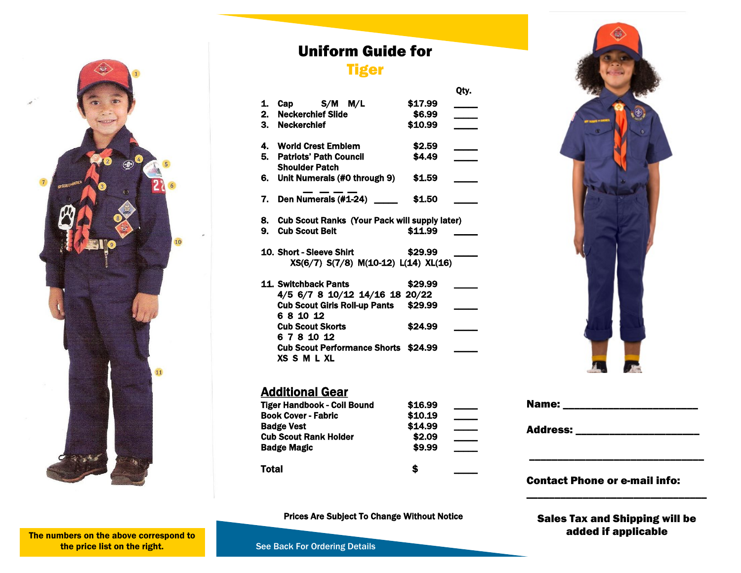

## Uniform Guide for

## **Tiger**

Qty.

| 1. | Cap S/M M/L                                                       | \$17.99 |  |
|----|-------------------------------------------------------------------|---------|--|
| 2. | <b>Neckerchief Slide</b>                                          | \$6.99  |  |
|    | 3. Neckerchief                                                    | \$10.99 |  |
|    |                                                                   |         |  |
|    | 4. World Crest Emblem                                             | \$2.59  |  |
|    | 5. Patriots' Path Council                                         | \$4.49  |  |
|    | <b>Shoulder Patch</b>                                             |         |  |
|    |                                                                   |         |  |
|    | 6. Unit Numerals (#0 through 9)                                   | \$1.59  |  |
|    |                                                                   |         |  |
|    | 7. Den Numerals (#1-24) ___                                       | \$1.50  |  |
|    |                                                                   |         |  |
|    | 8. Cub Scout Ranks (Your Pack will supply later)                  |         |  |
| 9. | <b>Cub Scout Belt</b>                                             | \$11.99 |  |
|    |                                                                   |         |  |
|    | 10. Short - Sleeve Shirt                                          | \$29.99 |  |
|    | XS(6/7) S(7/8) M(10-12) L(14) XL(16)                              |         |  |
|    |                                                                   |         |  |
|    | 11. Switchback Pants                                              | \$29.99 |  |
|    | 4/5 6/7 8 10/12 14/16 18 20/22                                    |         |  |
|    | Cub Scout Girls Roll-up Pants \$29.99                             |         |  |
|    | 68 10 12                                                          |         |  |
|    |                                                                   |         |  |
|    | <b>Cub Scout Skorts</b>                                           | \$24.99 |  |
|    | 6 7 8 10 12                                                       |         |  |
|    | <b>Cub Scout Performance Shorts \$24.99</b><br><b>XS S M L XL</b> |         |  |
|    |                                                                   |         |  |



| Tiger Handbook - Coil Bound  | \$16.99 |  |
|------------------------------|---------|--|
| <b>Book Cover - Fabric</b>   | \$10.19 |  |
| <b>Badge Vest</b>            | \$14.99 |  |
| <b>Cub Scout Rank Holder</b> | \$2.09  |  |
| <b>Badge Magic</b>           | \$9.99  |  |
| Total                        | S       |  |



#### Contact Phone or e-mail info:

Prices Are Subject To Change Without Notice

Sales Tax and Shipping will be added if applicable

\_\_\_\_\_\_\_\_\_\_\_\_\_\_\_\_\_\_\_\_\_\_\_\_\_\_\_\_\_\_\_\_

The numbers on the above correspond to the price list on the right.

See Back For Ordering Details